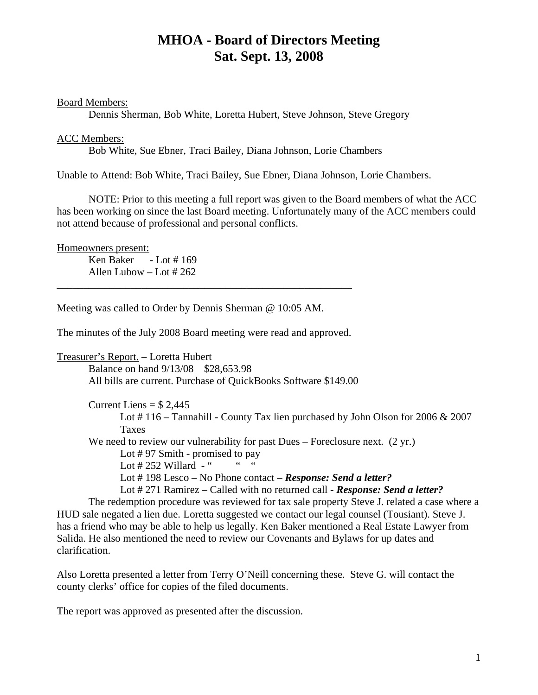## **MHOA - Board of Directors Meeting Sat. Sept. 13, 2008**

Board Members:

Dennis Sherman, Bob White, Loretta Hubert, Steve Johnson, Steve Gregory

## ACC Members:

Bob White, Sue Ebner, Traci Bailey, Diana Johnson, Lorie Chambers

Unable to Attend: Bob White, Traci Bailey, Sue Ebner, Diana Johnson, Lorie Chambers.

NOTE: Prior to this meeting a full report was given to the Board members of what the ACC has been working on since the last Board meeting. Unfortunately many of the ACC members could not attend because of professional and personal conflicts.

Homeowners present:

 Ken Baker - Lot # 169 Allen Lubow – Lot # 262

Meeting was called to Order by Dennis Sherman @ 10:05 AM.

The minutes of the July 2008 Board meeting were read and approved.

\_\_\_\_\_\_\_\_\_\_\_\_\_\_\_\_\_\_\_\_\_\_\_\_\_\_\_\_\_\_\_\_\_\_\_\_\_\_\_\_\_\_\_\_\_\_\_\_\_\_\_\_\_\_\_\_

Treasurer's Report. – Loretta Hubert Balance on hand 9/13/08 \$28,653.98 All bills are current. Purchase of QuickBooks Software \$149.00

> Current Liens  $=$  \$2,445 Lot # 116 – Tannahill - County Tax lien purchased by John Olson for 2006 & 2007 Taxes We need to review our vulnerability for past Dues – Foreclosure next. (2 yr.) Lot # 97 Smith - promised to pay Lot  $\#$  252 Willard  $-$  " Lot # 198 Lesco – No Phone contact – *Response: Send a letter?* Lot # 271 Ramirez – Called with no returned call - *Response: Send a letter?*

 The redemption procedure was reviewed for tax sale property Steve J. related a case where a HUD sale negated a lien due. Loretta suggested we contact our legal counsel (Tousiant). Steve J. has a friend who may be able to help us legally. Ken Baker mentioned a Real Estate Lawyer from Salida. He also mentioned the need to review our Covenants and Bylaws for up dates and clarification.

Also Loretta presented a letter from Terry O'Neill concerning these. Steve G. will contact the county clerks' office for copies of the filed documents.

The report was approved as presented after the discussion.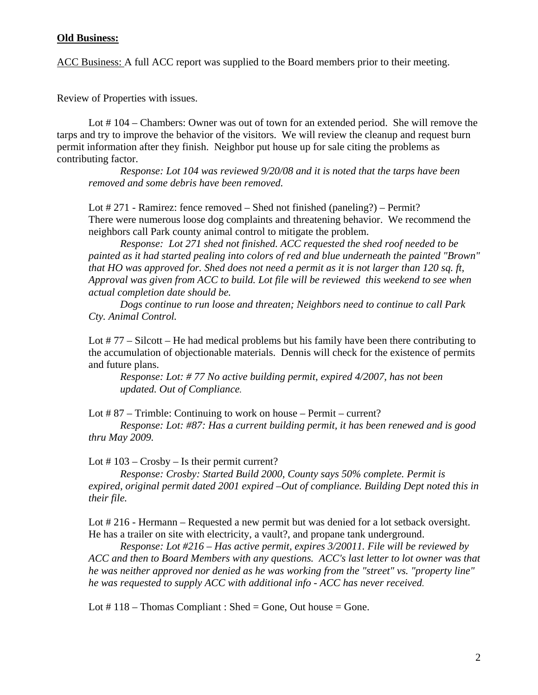## **Old Business:**

ACC Business: A full ACC report was supplied to the Board members prior to their meeting.

Review of Properties with issues.

Lot #104 – Chambers: Owner was out of town for an extended period. She will remove the tarps and try to improve the behavior of the visitors. We will review the cleanup and request burn permit information after they finish. Neighbor put house up for sale citing the problems as contributing factor.

*Response: Lot 104 was reviewed 9/20/08 and it is noted that the tarps have been removed and some debris have been removed.* 

Lot # 271 - Ramirez: fence removed – Shed not finished (paneling?) – Permit? There were numerous loose dog complaints and threatening behavior. We recommend the neighbors call Park county animal control to mitigate the problem.

*Response: Lot 271 shed not finished. ACC requested the shed roof needed to be painted as it had started pealing into colors of red and blue underneath the painted "Brown" that HO was approved for. Shed does not need a permit as it is not larger than 120 sq. ft, Approval was given from ACC to build. Lot file will be reviewed this weekend to see when actual completion date should be.* 

 *Dogs continue to run loose and threaten; Neighbors need to continue to call Park Cty. Animal Control.* 

Lot # 77 – Silcott – He had medical problems but his family have been there contributing to the accumulation of objectionable materials. Dennis will check for the existence of permits and future plans.

*Response: Lot: # 77 No active building permit, expired 4/2007, has not been updated. Out of Compliance.* 

Lot # 87 – Trimble: Continuing to work on house – Permit – current?

*Response: Lot: #87: Has a current building permit, it has been renewed and is good thru May 2009.* 

Lot # 103 – Crosby – Is their permit current?

*Response: Crosby: Started Build 2000, County says 50% complete. Permit is expired, original permit dated 2001 expired –Out of compliance. Building Dept noted this in their file.* 

Lot # 216 - Hermann – Requested a new permit but was denied for a lot setback oversight. He has a trailer on site with electricity, a vault?, and propane tank underground.

*Response: Lot #216 – Has active permit, expires 3/20011. File will be reviewed by ACC and then to Board Members with any questions. ACC's last letter to lot owner was that he was neither approved nor denied as he was working from the "street" vs. "property line" he was requested to supply ACC with additional info - ACC has never received.*

Lot  $\#$  118 – Thomas Compliant : Shed = Gone, Out house = Gone.